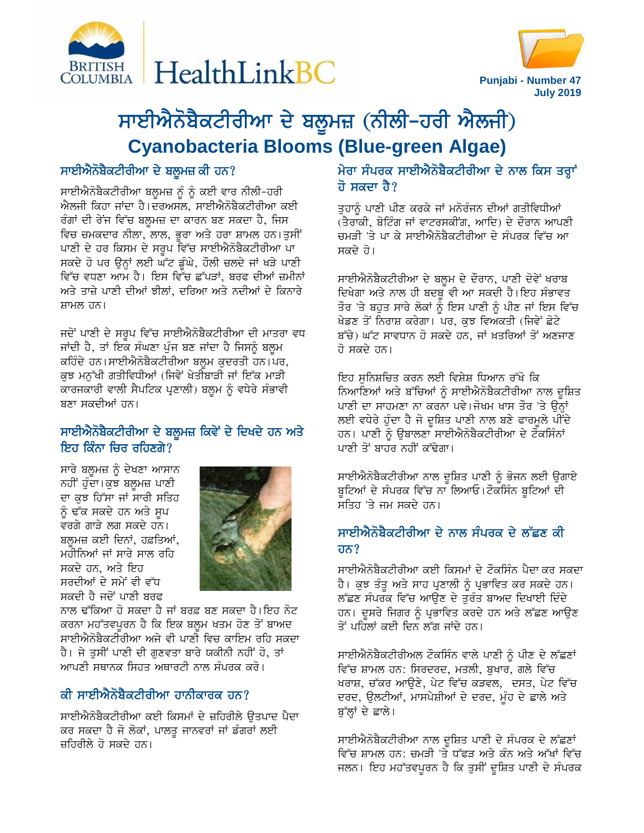



**Punjabi - Number 47 July 2019**

# ਸਾਈਐਨੋਬੈਕਟੀਰੀਆ ਦੇ ਬਲੂਮਜ਼ (ਨੀਲੀ-ਹਰੀ ਐਲਜੀ) **Cyanobacteria Blooms (Blue-green Algae)**

#### ਸਾਈਐਨੋਬੈਕਟੀਰੀਆ ਦੇ ਬਲੁਮਜ਼ ਕੀ ਹਨ?

ਸਾਈਐਨੋਬੈਕਟੀਰੀਆ ਬਲੂਮਜ਼ ਨੂੰ ਨੂੰ ਕਈ ਵਾਰ ਨੀਲੀ-ਹਰੀ ਐਲਜੀ ਕਿਹਾ ਜਾਂਦਾ ਹੈ।ਦਰਅਸਲ, ਸਾਈਐਨੋਬੈਕਟੀਰੀਆ ਕਈ ਰੰਗਾਂ ਦੀ ਰੇਂਜ ਵਿੱਚ ਬਲੁਮਜ਼ ਦਾ ਕਾਰਨ ਬਣ ਸਕਦਾ ਹੈ, ਜਿਸ ਵਿਚ ਚਮਕਦਾਰ ਨੀਲਾ, ਲਾਲ, ਭੁਰਾ ਅਤੇ ਹਰਾ ਸ਼ਾਮਲ ਹਨ।ਤੁਸੀਂ ਪਾਣੀ ਦੇ ਹਰ ਕਿਸਮ ਦੇ ਸਰੂਪ ਵਿੱਚ ਸਾਈਐਨੋਬੈਕਟੀਰੀਆ ਪਾ ਸਕਦੇ ਹੋ ਪਰ ਉਨ੍ਹਾਂ ਲਈ ਘੱਟ ਡੂੰਘੇ, ਹੌਲੀ ਚਲਦੇ ਜਾਂ ਖੜੇ ਪਾਣੀ ਵਿੱਚ ਵਧਣਾ ਆਮ ਹੈ। ਇਸ ਵਿੱਚ ਛੱਪੜਾਂ, ਬਰਫ ਦੀਆਂ ਜ਼ਮੀਨਾਂ ਅਤੇ ਤਾਜ਼ੇ ਪਾਣੀ ਦੀਆਂ ਝੀਲਾਂ. ਦਰਿਆ ਅਤੇ ਨਦੀਆਂ ਦੇ ਕਿਨਾਰੇ ਸ਼ਾਮਲ ਹਨ।

ਜਦੋਂ ਪਾਣੀ ਦੇ ਸਰੂਪ ਵਿੱਚ ਸਾਈਐਨੋਬੈਕਟੀਰੀਆ ਦੀ ਮਾਤਰਾ ਵਧ ਜਾਂਦੀ ਹੈ, ਤਾਂ ਇਕ ਸੰਘਣਾ ਪੁੰਜ ਬਣ ਜਾਂਦਾ ਹੈ ਜਿਸਨੂੰ ਬਲੂਮ ਕਹਿੰਦੇ ਹਨ।ਸਾਈਐਨੋਬੈਕਟੀਰੀਆ ਬਲੂਮ ਕੁਦਰਤੀ ਹਨ।ਪਰ, ਕੁਝ ਮਨੁੱਖੀ ਗਤੀਵਿਧੀਆਂ (ਜਿਵੇਂ ਖੇਤੀਬਾੜੀ ਜਾਂ ਇੱਕ ਮਾੜੀ ਕਾਰਜਕਾਰੀ ਵਾਲੀ ਸੈਪਟਿਕ ਪ੍ਰਣਾਲੀ) ਬਲੁਮ ਨੂੰ ਵਧੇਰੇ ਸੰਭਾਵੀ ਬਣਾ ਸਕਦੀਆਂ ਹਨ।

#### ਸਾਈਐਨੋਬੈਕਟੀਰੀਆ ਦੇ ਬਲੁਮਜ਼ ਕਿਵੇਂ ਦੇ ਦਿਖਦੇ ਹਨ ਅਤੇ ਇਹ ਕਿੰਨਾ ਚਿਰ ਰਹਿਣਗੇ?

ਸਾਰੇ ਬਲੂਮਜ਼ ਨੂੰ ਦੇਖਣਾ ਆਸਾਨ ਨਹੀਂ ਹੁੰਦਾ।ਕੁਝ ਬਲੁਮਜ਼ ਪਾਣੀ ਦਾ ਕੁਝ ਹਿੱਸਾ ਜਾਂ ਸਾਰੀ ਸਤਿਹ ਨੂੰ ਢੱਕ ਸਕਦੇ ਹਨ ਅਤੇ ਸੁਪ ਵਰਗੇ ਗਾੜੇ ਲਗ ਸਕਦੇ ਹਨ। ਬਲ਼ਮਜ਼ ਕਈ ਦਿਨਾਂ, ਹਫ਼ਤਿਆਂ, ਮਹੀਨਿਆਂ ਜਾਂ ਸਾਰੇ ਸਾਲ ਰਹਿ ਸਕਦੇ ਹਨ, ਅਤੇ ਇਹ ਸਰਦੀਆਂ ਦੇ ਸਮੇਂ ਵੀ ਵੱਧ ਸਕਦੀ ਹੈ ਜਦੋਂ ਪਾਣੀ ਬਰਫ



ਨਾਲ ਢੱਕਿਆ ਹੋ ਸਕਦਾ ਹੈ ਜਾਂ ਬਰਫ਼ ਬਣ ਸਕਦਾ ਹੈ।ਇਹ ਨੋਟ ਕਰਨਾ ਮਹੱਤਵਪੂਰਨ ਹੈ ਕਿ ਇਕ ਬਲੂਮ ਖਤਮ ਹੋਣ ਤੋਂ ਬਾਅਦ ਸਾਈਐਨੋਬੈਕਟੀਰੀਆ ਅਜੇ ਵੀ ਪਾਣੀ ਵਿਚ ਕਾਇਮ ਰਹਿ ਸਕਦਾ ਹੈ। ਜੇ ਤੁਸੀਂ ਪਾਣੀ ਦੀ ਗੁਣਵਤਾ ਬਾਰੇ ਯਕੀਨੀ ਨਹੀਂ ਹੋ, ਤਾਂ ਆਪਣੀ ਸਥਾਨਕ ਸਿਹਤ ਅਥਾਰਟੀ ਨਾਲ ਸੰਪਰਕ ਕਰੋ।

## ਕੀ ਸਾਈਐਨੋਬੈਕਟੀਰੀਆ ਹਾਨੀਕਾਰਕ ਹਨ?

ਸਾਈਐਨੋਬੈਕਟੀਰੀਆ ਕਈ ਕਿਸਮਾਂ ਦੇ ਜ਼ਹਿਰੀਲੇ ੳਤਪਾਦ ਪੈਦਾ ਕਰ ਸਕਦਾ ਹੈ ਜੋ ਲੋਕਾਂ, ਪਾਲਤੂ ਜਾਨਵਰਾਂ ਜਾਂ ਡੰਗਰਾਂ ਲਈ ਜ਼ਹਿਰੀਲੇ ਹੋ ਸਕਦੇ ਹਨ।

## ਮੇਰਾ ਸੰਪਰਕ ਸਾਈਐਨੋਬੈਕਟੀਰੀਆ ਦੇ ਨਾਲ ਕਿਸ ਤਰ੍ਹਾਂ ਹੋ ਸਕਦਾ ਹੈ?

ਤੁਹਾਨੂੰ ਪਾਣੀ ਪੀਣ ਕਰਕੇ ਜਾਂ ਮਨੋਰੰਜਨ ਦੀਆਂ ਗਤੀਵਿਧੀਆਂ (ਤੈਰਾਕੀ, ਬੋਟਿੰਗ ਜਾਂ ਵਾਟਰਸਕੀਂਗ, ਆਦਿ) ਦੇ ਦੌਰਾਨ ਆਪਣੀ ਚਮੜੀ 'ਤੇ ਪਾ ਕੇ ਸਾਈਐਨੋਬੈਕਟੀਰੀਆ ਦੇ ਸੰਪਰਕ ਵਿੱਚ ਆ ਸਕਦੇ ਹੋ।

ਸਾਈਐਨੋਬੈਕਟੀਰੀਆ ਦੇ ਬਲੁਮ ਦੇ ਦੌਰਾਨ, ਪਾਣੀ ਦੋਵੇਂ ਖਰਾਬ ਦਿਖੇਗਾ ਅਤੇ ਨਾਲ ਹੀ ਬਦਬ ਵੀ ਆ ਸਕਦੀ ਹੈ।ਇਹ ਸੰਭਾਵਤ ਤੌਰ 'ਤੇ ਬਹੁਤ ਸਾਰੇ ਲੋਕਾਂ ਨੂੰ ਇਸ ਪਾਣੀ ਨੂੰ ਪੀਣ ਜਾਂ ਇਸ ਵਿੱਚ ਖੇਡਣ ਤੋਂ ਨਿਰਾਸ਼ ਕਰੇਗਾ। ਪਰ, ਕੁਝ ਵਿਅਕਤੀ (ਜਿਵੇਂ ਛੋਟੇ ਬੱਚੇ) ਘੱਟ ਸਾਵਧਾਨ ਹੋ ਸਕਦੇ ਹਨ, ਜਾਂ ਖ਼ਤਰਿਆਂ ਤੋਂ ਅਣਜਾਣ ਰੋ ਸਕਦੇ ਹਨ।

ਇਹ ਸਨਿਸ਼ਚਿਤ ਕਰਨ ਲਈ ਵਿਸ਼ੇਸ਼ ਧਿਆਨ ਰੱਖੋ ਕਿ ਨਿਆਣਿਆਂ ਅਤੇ ਬੱਚਿਆਂ ਨੂੰ ਸਾਈਐਨੋਬੈਕਟੀਰੀਆ ਨਾਲ ਦੂਸ਼ਿਤ ਪਾਣੀ ਦਾ ਸਾਹਮਣਾ ਨਾ ਕਰਨਾ ਪਵੇ।ਜੋਖਮ ਖਾਸ ਤੌਰ 'ਤੇ ਉਨ੍ਹਾਂ ਲਈ ਵਧੇਰੇ ਹੁੰਦਾ ਹੈ ਜੋ ਦੁਸ਼ਿਤ ਪਾਣੀ ਨਾਲ ਬਣੇ ਫਾਰਮੁਲੇ ਪੀਂਦੇ ਹਨ। ਪਾਣੀ ਨੂੰ ਉਬਾਲਣਾ ਸਾਈਐਨੋਬੈਕਟੀਰੀਆ ਦੇ ਟੌਕਸਿੰਨਾਂ ਪਾਣੀ ਤੋਂ ਬਾਹਰ ਨਹੀਂ ਕੱਢੇਗਾ।

ਸਾਈਐਨੋਬੈਕਟੀਰੀਆ ਨਾਲ ਦੁਸ਼ਿਤ ਪਾਣੀ ਨੂੰ ਭੋਜਨ ਲਈ ਉਗਾਏ ਬੁਟਿਆਂ ਦੇ ਸੰਪਰਕ ਵਿੱਚ ਨਾ ਲਿਆਓ।ਟੌਕਸਿੰਨ ਬੁਟਿਆਂ ਦੀ ਸਤਿਹ 'ਤੇ ਜਮ ਸਕਦੇ ਹਨ।

# ਸਾਈਐਨੋਬੈਕਟੀਰੀਆ ਦੇ ਨਾਲ ਸੰਪਰਕ ਦੇ ਲੱਛਣ ਕੀ ਹਨ $?$

ਸਾਈਐਨੋਬੈਕਟੀਰੀਆ ਕਈ ਕਿਸਮਾਂ ਦੇ ਟੌਕਸਿੰਨ ਪੈਦਾ ਕਰ ਸਕਦਾ ਹੈ। ਕੁਝ ਤੰਤੂ ਅਤੇ ਸਾਹ ਪ੍ਰਣਾਲੀ ਨੂੰ ਪ੍ਰਭਾਵਿਤ ਕਰ ਸਕਦੇ ਹਨ। ਲੱਛਣ ਸੰਪਰਕ ਵਿੱਚ ਆਉਣ ਦੇ ਤੁਰੰਤ ਬਾਅਦ ਦਿਖਾਈ ਦਿੰਦੇ ਹਨ। ਦੂਸਰੇ ਜਿਗਰ ਨੂੰ ਪ੍ਰਭਾਵਿਤ ਕਰਦੇ ਹਨ ਅਤੇ ਲੱਛਣ ਆਉਣ ਤੋਂ ਪਹਿਲਾਂ ਕਈ ਦਿਨ ਲੱਗ ਜਾਂਦੇ ਹਨ।

ਸਾਈਐਨੋਬੈਕਟੀਰੀਅਲ ਟੌਕਸਿੰਨ ਵਾਲੇ ਪਾਣੀ ਨੂੰ ਪੀਣ ਦੇ ਲੱਛਣਾਂ ਵਿੱਚ ਸ਼ਾਮਲ ਹਨ: ਸਿਰਦਰਦ, ਮਤਲੀ, ਬੁਖਾਰ, ਗਲੇ ਵਿੱਚ ਖਰਾਸ਼, ਚੱਕਰ ਆਉਣੇ, ਪੇਟ ਵਿੱਚ ਕੜਵਲ, ਦਸਤ, ਪੇਟ ਵਿੱਚ ਦਰਦ, ਉਲਟੀਆਂ, ਮਾਸਪੇਸ਼ੀਆਂ ਦੇ ਦਰਦ, ਮੂੰਹ ਦੇ ਛਾਲੇ ਅਤੇ ਬੁੱਲ੍ਹਾਂ ਦੇ ਛਾਲੇ।

ਸਾਈਐਨੋਬੈਕਟੀਰੀਆ ਨਾਲ ਦੂਸ਼ਿਤ ਪਾਣੀ ਦੇ ਸੰਪਰਕ ਦੇ ਲੱਛਣਾਂ ਵਿੱਚ ਸ਼ਾਮਲ ਹਨ: ਚਮੜੀ 'ਤੇ ਧੱਫੜ ਅਤੇ ਕੰਨ ਅਤੇ ਅੱਖਾਂ ਵਿੱਚ ਜਲਨ। ਇਹ ਮਹੱਤਵਪੂਰਨ ਹੈ ਕਿ ਤੁਸੀਂ ਦੁਸ਼ਿਤ ਪਾਣੀ ਦੇ ਸੰਪਰਕ